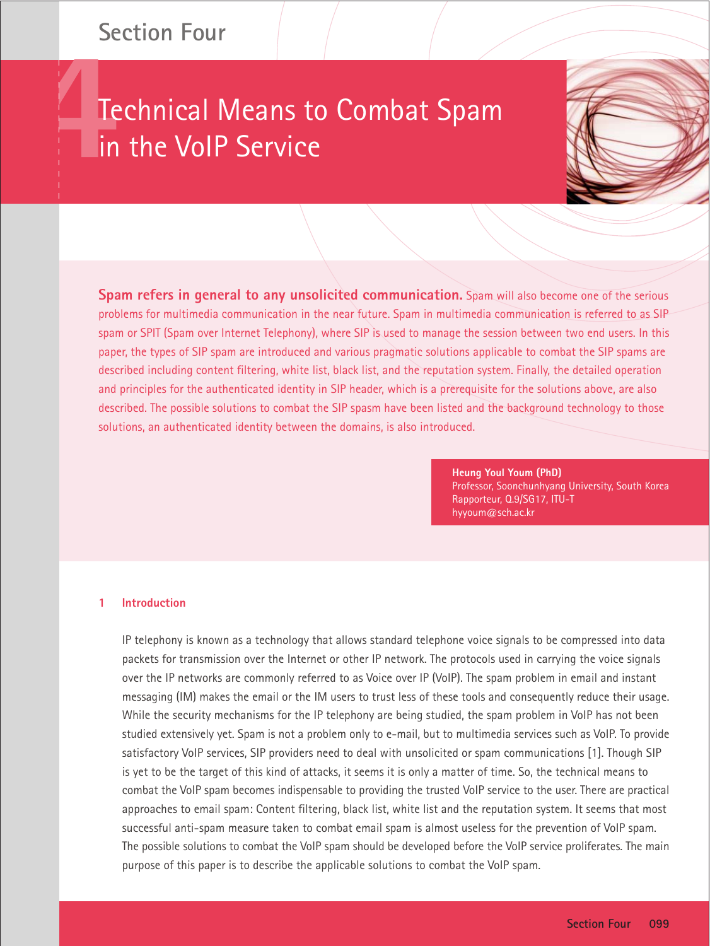# **Section Four**

# Technical Means to Combat Spam in the VoIP Service



**Spam refers in general to any unsolicited communication.** Spam will also become one of the serious problems for multimedia communication in the near future. Spam in multimedia communication is referred to as SIP spam or SPIT (Spam over Internet Telephony), where SIP is used to manage the session between two end users. In this paper, the types of SIP spam are introduced and various pragmatic solutions applicable to combat the SIP spams are described including content filtering, white list, black list, and the reputation system. Finally, the detailed operation and principles for the authenticated identity in SIP header, which is a prerequisite for the solutions above, are also described. The possible solutions to combat the SIP spasm have been listed and the background technology to those solutions, an authenticated identity between the domains, is also introduced.

> **Heung Youl Youm (PhD)** Professor, Soonchunhyang University, South Korea Rapporteur, Q.9/SG17, ITU-T hyyoum@sch.ac.kr

# **1 Introduction**

IP telephony is known as a technology that allows standard telephone voice signals to be compressed into data packets for transmission over the Internet or other IP network. The protocols used in carrying the voice signals over the IP networks are commonly referred to as Voice over IP (VoIP). The spam problem in email and instant messaging (IM) makes the email or the IM users to trust less of these tools and consequently reduce their usage. While the security mechanisms for the IP telephony are being studied, the spam problem in VoIP has not been studied extensively yet. Spam is not a problem only to e-mail, but to multimedia services such as VoIP. To provide satisfactory VoIP services, SIP providers need to deal with unsolicited or spam communications [1]. Though SIP is yet to be the target of this kind of attacks, it seems it is only a matter of time. So, the technical means to combat the VoIP spam becomes indispensable to providing the trusted VoIP service to the user. There are practical approaches to email spam: Content filtering, black list, white list and the reputation system. It seems that most successful anti-spam measure taken to combat email spam is almost useless for the prevention of VoIP spam. The possible solutions to combat the VoIP spam should be developed before the VoIP service proliferates. The main purpose of this paper is to describe the applicable solutions to combat the VoIP spam.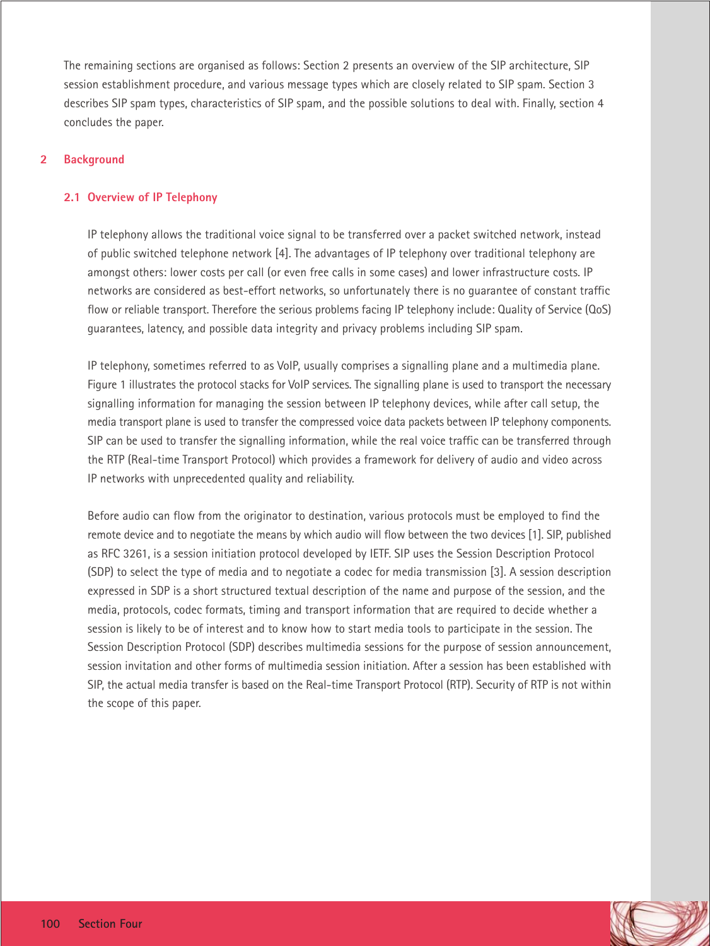The remaining sections are organised as follows: Section 2 presents an overview of the SIP architecture, SIP session establishment procedure, and various message types which are closely related to SIP spam. Section 3 describes SIP spam types, characteristics of SIP spam, and the possible solutions to deal with. Finally, section 4 concludes the paper.

# **2 Background**

# **2.1 Overview of IP Telephony**

IP telephony allows the traditional voice signal to be transferred over a packet switched network, instead of public switched telephone network [4]. The advantages of IP telephony over traditional telephony are amongst others: lower costs per call (or even free calls in some cases) and lower infrastructure costs. IP networks are considered as best-effort networks, so unfortunately there is no guarantee of constant traffic flow or reliable transport. Therefore the serious problems facing IP telephony include: Quality of Service (QoS) guarantees, latency, and possible data integrity and privacy problems including SIP spam.

IP telephony, sometimes referred to as VoIP, usually comprises a signalling plane and a multimedia plane. Figure 1 illustrates the protocol stacks for VoIP services. The signalling plane is used to transport the necessary signalling information for managing the session between IP telephony devices, while after call setup, the media transport plane is used to transfer the compressed voice data packets between IP telephony components. SIP can be used to transfer the signalling information, while the real voice traffic can be transferred through the RTP (Real-time Transport Protocol) which provides a framework for delivery of audio and video across IP networks with unprecedented quality and reliability.

Before audio can flow from the originator to destination, various protocols must be employed to find the remote device and to negotiate the means by which audio will flow between the two devices [1]. SIP, published as RFC 3261, is a session initiation protocol developed by IETF. SIP uses the Session Description Protocol (SDP) to select the type of media and to negotiate a codec for media transmission [3]. A session description expressed in SDP is a short structured textual description of the name and purpose of the session, and the media, protocols, codec formats, timing and transport information that are required to decide whether a session is likely to be of interest and to know how to start media tools to participate in the session. The Session Description Protocol (SDP) describes multimedia sessions for the purpose of session announcement, session invitation and other forms of multimedia session initiation. After a session has been established with SIP, the actual media transfer is based on the Real-time Transport Protocol (RTP). Security of RTP is not within the scope of this paper.

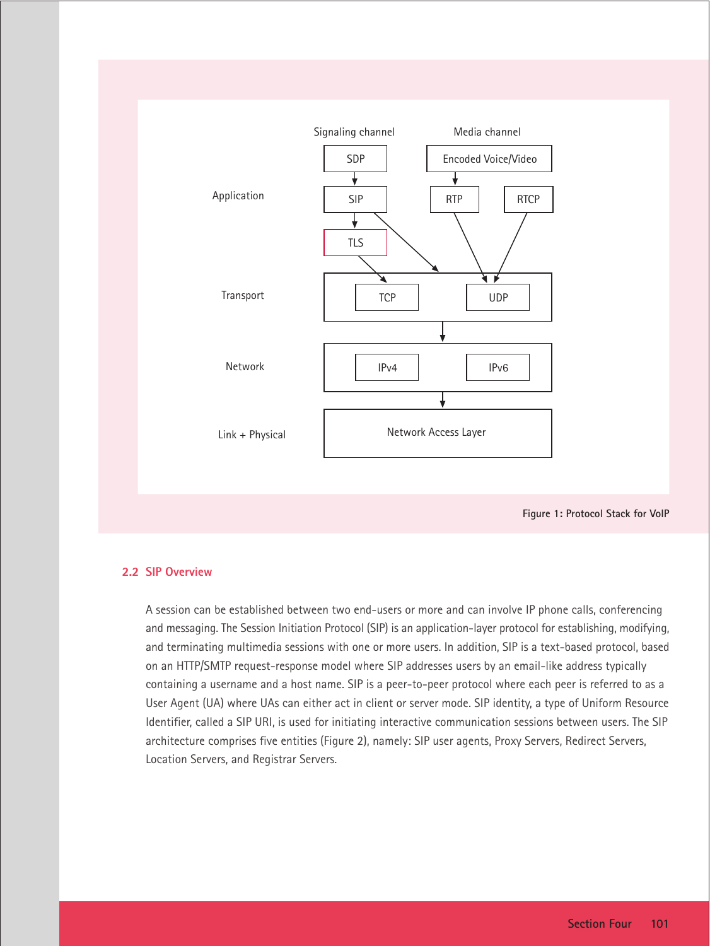

**Figure 1: Protocol Stack for VoIP**

# **2.2 SIP Overview**

A session can be established between two end-users or more and can involve IP phone calls, conferencing and messaging. The Session Initiation Protocol (SIP) is an application-layer protocol for establishing, modifying, and terminating multimedia sessions with one or more users. In addition, SIP is a text-based protocol, based on an HTTP/SMTP request-response model where SIP addresses users by an email-like address typically containing a username and a host name. SIP is a peer-to-peer protocol where each peer is referred to as a User Agent (UA) where UAs can either act in client or server mode. SIP identity, a type of Uniform Resource Identifier, called a SIP URI, is used for initiating interactive communication sessions between users. The SIP architecture comprises five entities (Figure 2), namely: SIP user agents, Proxy Servers, Redirect Servers, Location Servers, and Registrar Servers.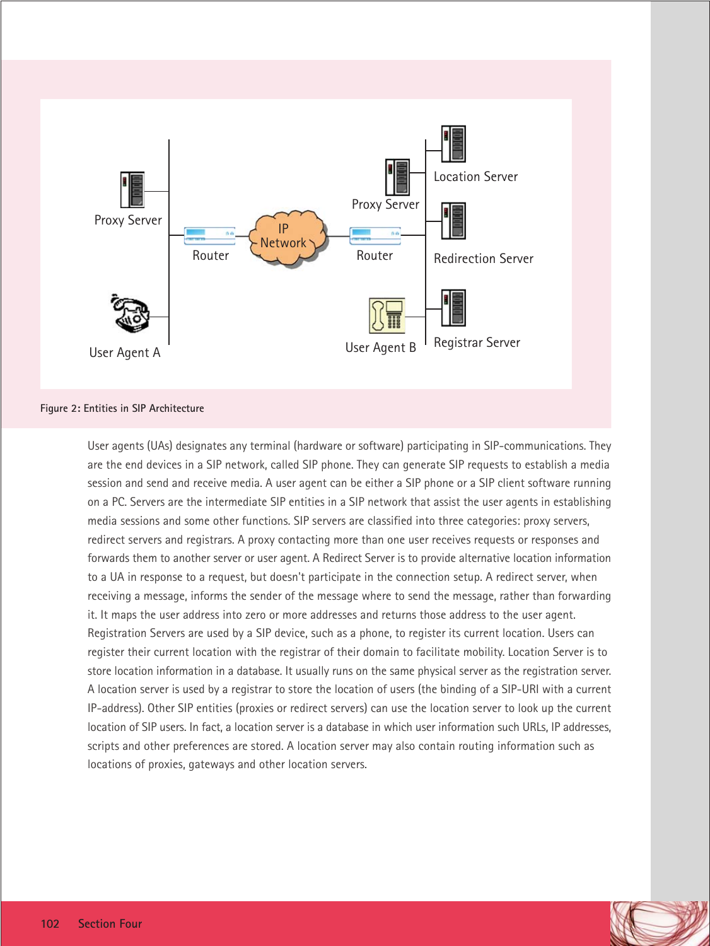

#### **Figure 2: Entities in SIP Architecture**

User agents (UAs) designates any terminal (hardware or software) participating in SIP-communications. They are the end devices in a SIP network, called SIP phone. They can generate SIP requests to establish a media session and send and receive media. A user agent can be either a SIP phone or a SIP client software running on a PC. Servers are the intermediate SIP entities in a SIP network that assist the user agents in establishing media sessions and some other functions. SIP servers are classified into three categories: proxy servers, redirect servers and registrars. A proxy contacting more than one user receives requests or responses and forwards them to another server or user agent. A Redirect Server is to provide alternative location information to a UA in response to a request, but doesn't participate in the connection setup. A redirect server, when receiving a message, informs the sender of the message where to send the message, rather than forwarding it. It maps the user address into zero or more addresses and returns those address to the user agent. Registration Servers are used by a SIP device, such as a phone, to register its current location. Users can register their current location with the registrar of their domain to facilitate mobility. Location Server is to store location information in a database. It usually runs on the same physical server as the registration server. A location server is used by a registrar to store the location of users (the binding of a SIP-URI with a current IP-address). Other SIP entities (proxies or redirect servers) can use the location server to look up the current location of SIP users. In fact, a location server is a database in which user information such URLs, IP addresses, scripts and other preferences are stored. A location server may also contain routing information such as locations of proxies, gateways and other location servers.

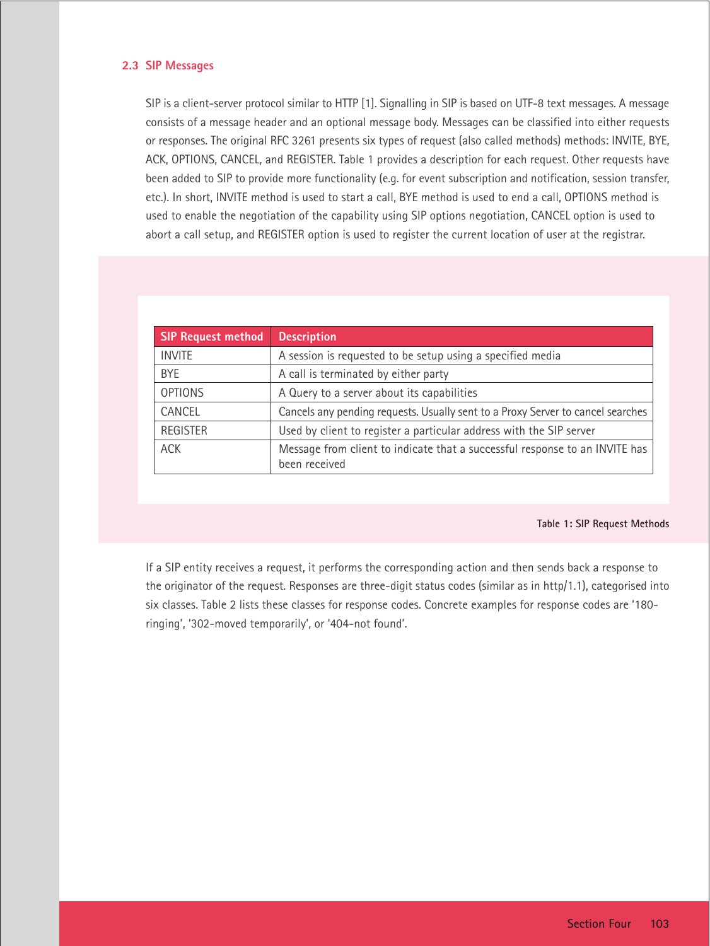# **2.3 SIP Messages**

SIP is a client-server protocol similar to HTTP [1]. Signalling in SIP is based on UTF-8 text messages. A message consists of a message header and an optional message body. Messages can be classified into either requests or responses. The original RFC 3261 presents six types of request (also called methods) methods: INVITE, BYE, ACK, OPTIONS, CANCEL, and REGISTER. Table 1 provides a description for each request. Other requests have been added to SIP to provide more functionality (e.g. for event subscription and notification, session transfer, etc.). In short, INVITE method is used to start a call, BYE method is used to end a call, OPTIONS method is used to enable the negotiation of the capability using SIP options negotiation, CANCEL option is used to abort a call setup, and REGISTER option is used to register the current location of user at the registrar.

| <b>SIP Request method</b> | <b>Description</b>                                                                           |  |  |
|---------------------------|----------------------------------------------------------------------------------------------|--|--|
| <b>INVITE</b>             | A session is requested to be setup using a specified media                                   |  |  |
| <b>BYE</b>                | A call is terminated by either party                                                         |  |  |
| <b>OPTIONS</b>            | A Query to a server about its capabilities                                                   |  |  |
| CANCEL                    | Cancels any pending requests. Usually sent to a Proxy Server to cancel searches              |  |  |
| <b>REGISTER</b>           | Used by client to register a particular address with the SIP server                          |  |  |
| <b>ACK</b>                | Message from client to indicate that a successful response to an INVITE has<br>been received |  |  |

#### **Table 1: SIP Request Methods**

If a SIP entity receives a request, it performs the corresponding action and then sends back a response to the originator of the request. Responses are three-digit status codes (similar as in http/1.1), categorised into six classes. Table 2 lists these classes for response codes. Concrete examples for response codes are '180 ringing', '302-moved temporarily', or '404-not found'.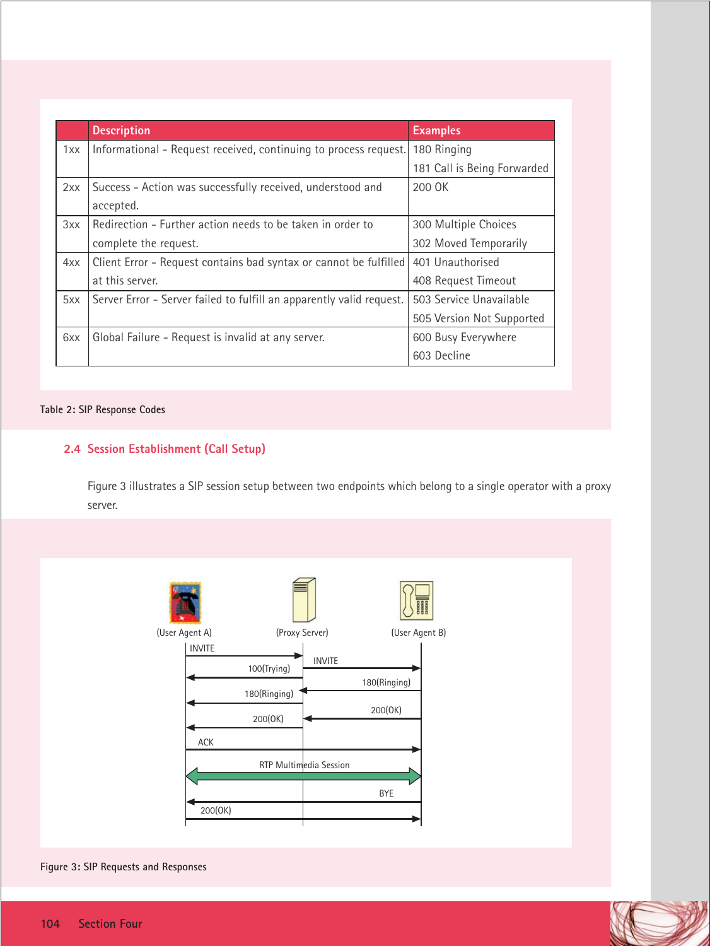|     | <b>Description</b>                                                   | <b>Examples</b>             |
|-----|----------------------------------------------------------------------|-----------------------------|
| 1xx | Informational – Request received, continuing to process request.     | 180 Ringing                 |
|     |                                                                      | 181 Call is Being Forwarded |
| 2xx | Success - Action was successfully received, understood and           | 200 OK                      |
|     | accepted.                                                            |                             |
| 3xx | Redirection - Further action needs to be taken in order to           | 300 Multiple Choices        |
|     | complete the request.                                                | 302 Moved Temporarily       |
| 4xx | Client Error - Request contains bad syntax or cannot be fulfilled    | 401 Unauthorised            |
|     | at this server.                                                      | 408 Request Timeout         |
| 5xx | Server Error - Server failed to fulfill an apparently valid request. | 503 Service Unavailable     |
|     |                                                                      | 505 Version Not Supported   |
| 6xx | Global Failure - Request is invalid at any server.                   | 600 Busy Everywhere         |
|     |                                                                      | 603 Decline                 |

#### **Table 2: SIP Response Codes**

# **2.4 Session Establishment (Call Setup)**

Figure 3 illustrates a SIP session setup between two endpoints which belong to a single operator with a proxy server.



**Figure 3: SIP Requests and Responses**

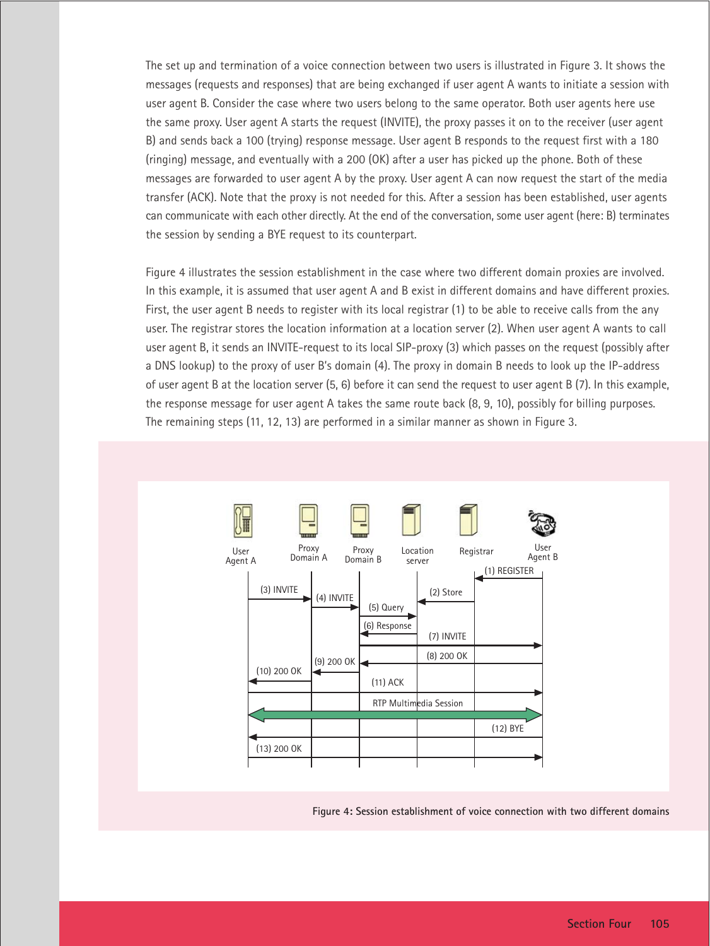The set up and termination of a voice connection between two users is illustrated in Figure 3. It shows the messages (requests and responses) that are being exchanged if user agent A wants to initiate a session with user agent B. Consider the case where two users belong to the same operator. Both user agents here use the same proxy. User agent A starts the request (INVITE), the proxy passes it on to the receiver (user agent B) and sends back a 100 (trying) response message. User agent B responds to the request first with a 180 (ringing) message, and eventually with a 200 (OK) after a user has picked up the phone. Both of these messages are forwarded to user agent A by the proxy. User agent A can now request the start of the media transfer (ACK). Note that the proxy is not needed for this. After a session has been established, user agents can communicate with each other directly. At the end of the conversation, some user agent (here: B) terminates the session by sending a BYE request to its counterpart.

Figure 4 illustrates the session establishment in the case where two different domain proxies are involved. In this example, it is assumed that user agent A and B exist in different domains and have different proxies. First, the user agent B needs to register with its local registrar (1) to be able to receive calls from the any user. The registrar stores the location information at a location server (2). When user agent A wants to call user agent B, it sends an INVITE-request to its local SIP-proxy (3) which passes on the request (possibly after a DNS lookup) to the proxy of user B's domain (4). The proxy in domain B needs to look up the IP-address of user agent B at the location server (5, 6) before it can send the request to user agent B (7). In this example, the response message for user agent A takes the same route back (8, 9, 10), possibly for billing purposes. The remaining steps (11, 12, 13) are performed in a similar manner as shown in Figure 3.



**Figure 4: Session establishment of voice connection with two different domains**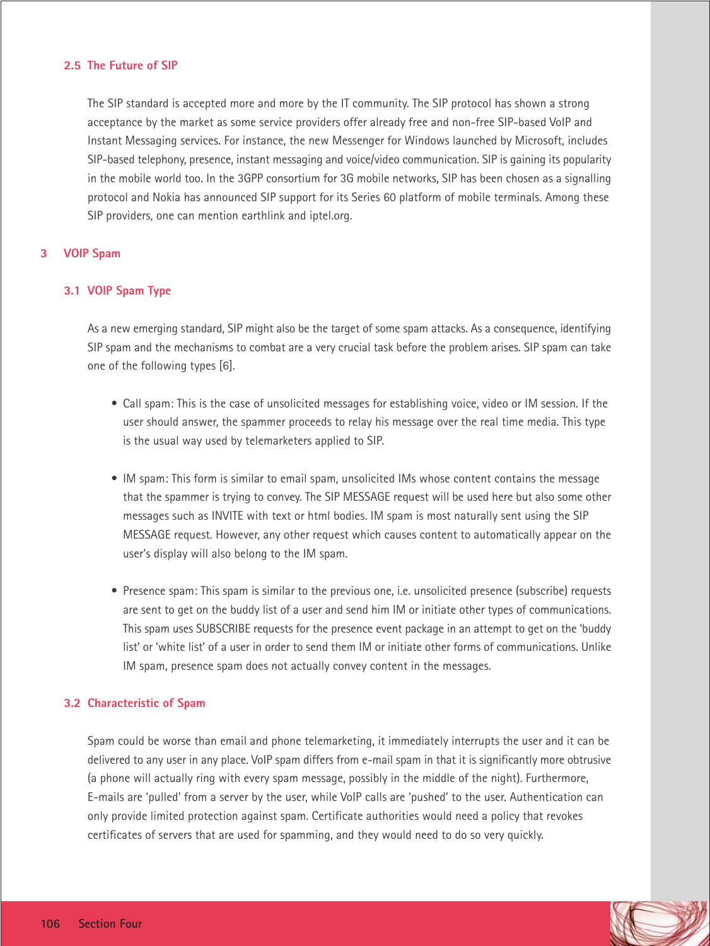# **2.5 The Future of SIP**

The SIP standard is accepted more and more by the IT community. The SIP protocol has shown a strong acceptance by the market as some service providers offer already free and non-free SIP-based VoIP and Instant Messaging services. For instance, the new Messenger for Windows launched by Microsoft, includes SIP-based telephony, presence, instant messaging and voice/video communication. SIP is gaining its popularity in the mobile world too. In the 3GPP consortium for 3G mobile networks, SIP has been chosen as a signalling protocol and Nokia has announced SIP support for its Series 60 platform of mobile terminals. Among these SIP providers, one can mention earthlink and iptel.org.

# **3 VOIP Spam**

# **3.1 VOIP Spam Type**

As a new emerging standard, SIP might also be the target of some spam attacks. As a consequence, identifying SIP spam and the mechanisms to combat are a very crucial task before the problem arises. SIP spam can take one of the following types [6].

- Call spam: This is the case of unsolicited messages for establishing voice, video or IM session. If the user should answer, the spammer proceeds to relay his message over the real time media. This type is the usual way used by telemarketers applied to SIP.
- IM spam: This form is similar to email spam, unsolicited IMs whose content contains the message that the spammer is trying to convey. The SIP MESSAGE request will be used here but also some other messages such as INVITE with text or html bodies. IM spam is most naturally sent using the SIP MESSAGE request. However, any other request which causes content to automatically appear on the user's display will also belong to the IM spam.
- Presence spam: This spam is similar to the previous one, i.e. unsolicited presence (subscribe) requests are sent to get on the buddy list of a user and send him IM or initiate other types of communications. This spam uses SUBSCRIBE requests for the presence event package in an attempt to get on the 'buddy list' or 'white list' of a user in order to send them IM or initiate other forms of communications. Unlike IM spam, presence spam does not actually convey content in the messages.

#### **3.2 Characteristic of Spam**

Spam could be worse than email and phone telemarketing, it immediately interrupts the user and it can be delivered to any user in any place. VoIP spam differs from e-mail spam in that it is significantly more obtrusive (a phone will actually ring with every spam message, possibly in the middle of the night). Furthermore, E-mails are 'pulled' from a server by the user, while VoIP calls are 'pushed' to the user. Authentication can only provide limited protection against spam. Certificate authorities would need a policy that revokes certificates of servers that are used for spamming, and they would need to do so very quickly.

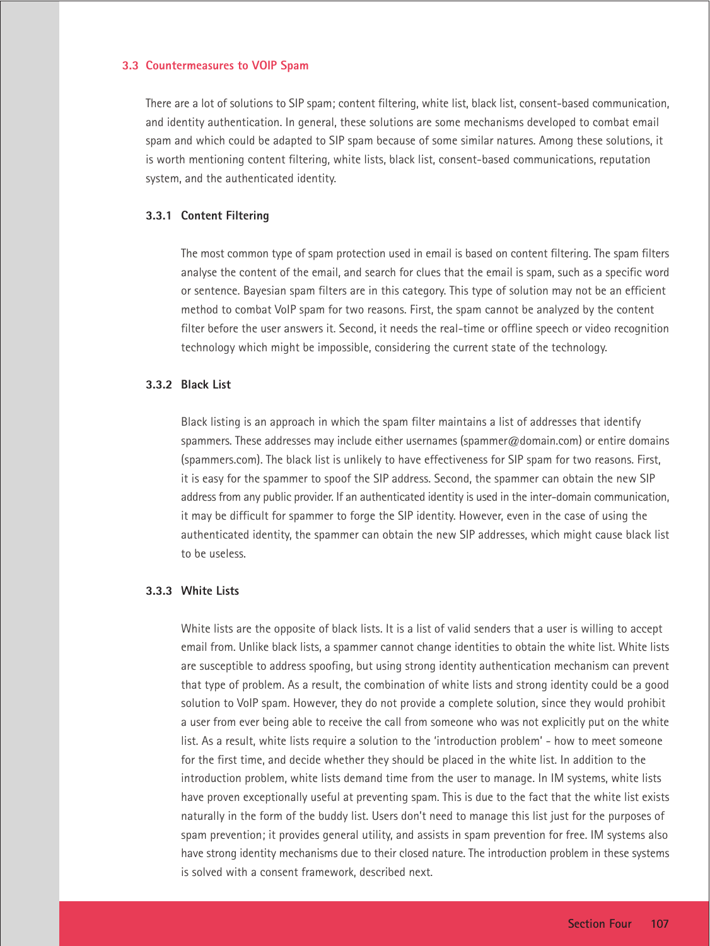#### **3.3 Countermeasures to VOIP Spam**

There are a lot of solutions to SIP spam; content filtering, white list, black list, consent-based communication, and identity authentication. In general, these solutions are some mechanisms developed to combat email spam and which could be adapted to SIP spam because of some similar natures. Among these solutions, it is worth mentioning content filtering, white lists, black list, consent-based communications, reputation system, and the authenticated identity.

#### **3.3.1 Content Filtering**

The most common type of spam protection used in email is based on content filtering. The spam filters analyse the content of the email, and search for clues that the email is spam, such as a specific word or sentence. Bayesian spam filters are in this category. This type of solution may not be an efficient method to combat VoIP spam for two reasons. First, the spam cannot be analyzed by the content filter before the user answers it. Second, it needs the real-time or offline speech or video recognition technology which might be impossible, considering the current state of the technology.

# **3.3.2 Black List**

Black listing is an approach in which the spam filter maintains a list of addresses that identify spammers. These addresses may include either usernames (spammer@domain.com) or entire domains (spammers.com). The black list is unlikely to have effectiveness for SIP spam for two reasons. First, it is easy for the spammer to spoof the SIP address. Second, the spammer can obtain the new SIP address from any public provider. If an authenticated identity is used in the inter-domain communication, it may be difficult for spammer to forge the SIP identity. However, even in the case of using the authenticated identity, the spammer can obtain the new SIP addresses, which might cause black list to be useless.

# **3.3.3 White Lists**

White lists are the opposite of black lists. It is a list of valid senders that a user is willing to accept email from. Unlike black lists, a spammer cannot change identities to obtain the white list. White lists are susceptible to address spoofing, but using strong identity authentication mechanism can prevent that type of problem. As a result, the combination of white lists and strong identity could be a good solution to VoIP spam. However, they do not provide a complete solution, since they would prohibit a user from ever being able to receive the call from someone who was not explicitly put on the white list. As a result, white lists require a solution to the 'introduction problem' - how to meet someone for the first time, and decide whether they should be placed in the white list. In addition to the introduction problem, white lists demand time from the user to manage. In IM systems, white lists have proven exceptionally useful at preventing spam. This is due to the fact that the white list exists naturally in the form of the buddy list. Users don't need to manage this list just for the purposes of spam prevention; it provides general utility, and assists in spam prevention for free. IM systems also have strong identity mechanisms due to their closed nature. The introduction problem in these systems is solved with a consent framework, described next.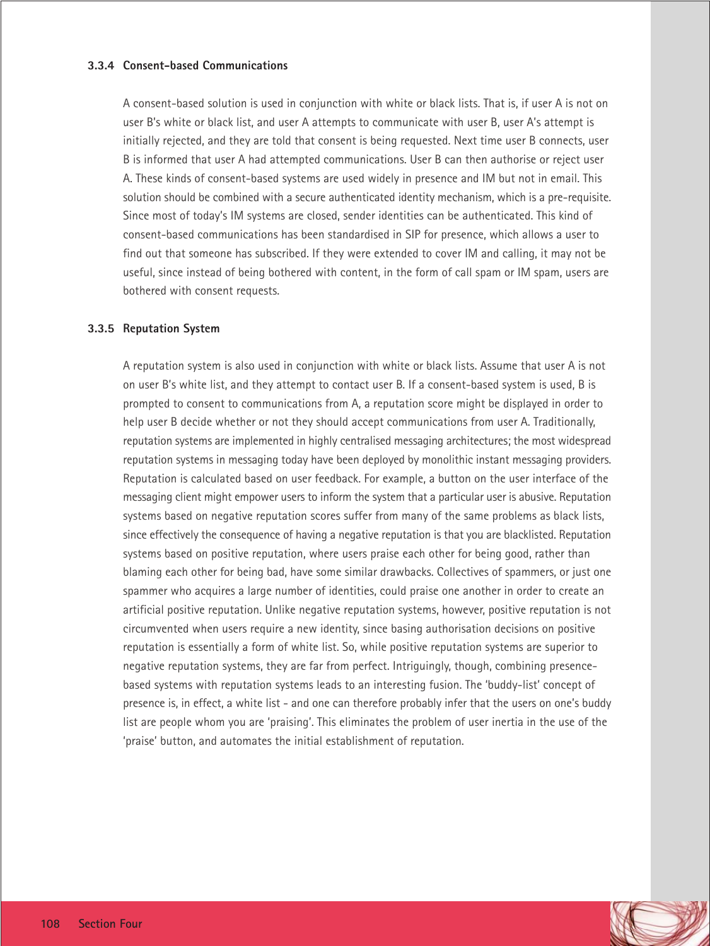# **3.3.4 Consent-based Communications**

A consent-based solution is used in conjunction with white or black lists. That is, if user A is not on user B's white or black list, and user A attempts to communicate with user B, user A's attempt is initially rejected, and they are told that consent is being requested. Next time user B connects, user B is informed that user A had attempted communications. User B can then authorise or reject user A. These kinds of consent-based systems are used widely in presence and IM but not in email. This solution should be combined with a secure authenticated identity mechanism, which is a pre-requisite. Since most of today's IM systems are closed, sender identities can be authenticated. This kind of consent-based communications has been standardised in SIP for presence, which allows a user to find out that someone has subscribed. If they were extended to cover IM and calling, it may not be useful, since instead of being bothered with content, in the form of call spam or IM spam, users are bothered with consent requests.

# **3.3.5 Reputation System**

A reputation system is also used in conjunction with white or black lists. Assume that user A is not on user B's white list, and they attempt to contact user B. If a consent-based system is used, B is prompted to consent to communications from A, a reputation score might be displayed in order to help user B decide whether or not they should accept communications from user A. Traditionally, reputation systems are implemented in highly centralised messaging architectures; the most widespread reputation systems in messaging today have been deployed by monolithic instant messaging providers. Reputation is calculated based on user feedback. For example, a button on the user interface of the messaging client might empower users to inform the system that a particular user is abusive. Reputation systems based on negative reputation scores suffer from many of the same problems as black lists, since effectively the consequence of having a negative reputation is that you are blacklisted. Reputation systems based on positive reputation, where users praise each other for being good, rather than blaming each other for being bad, have some similar drawbacks. Collectives of spammers, or just one spammer who acquires a large number of identities, could praise one another in order to create an artificial positive reputation. Unlike negative reputation systems, however, positive reputation is not circumvented when users require a new identity, since basing authorisation decisions on positive reputation is essentially a form of white list. So, while positive reputation systems are superior to negative reputation systems, they are far from perfect. Intriguingly, though, combining presencebased systems with reputation systems leads to an interesting fusion. The 'buddy-list' concept of presence is, in effect, a white list - and one can therefore probably infer that the users on one's buddy list are people whom you are 'praising'. This eliminates the problem of user inertia in the use of the 'praise' button, and automates the initial establishment of reputation.

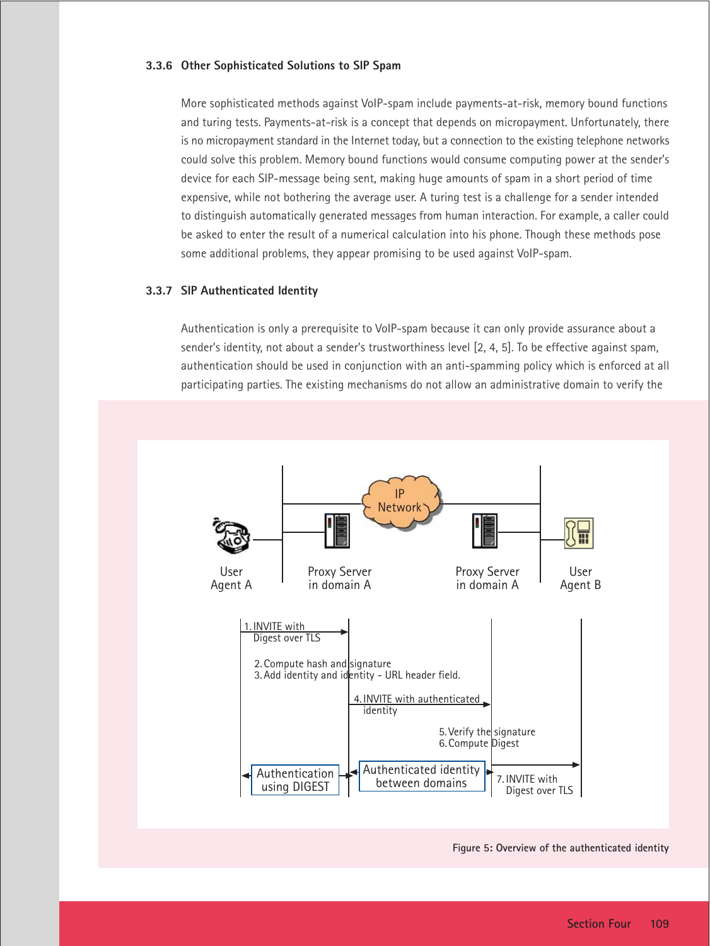#### **3.3.6 Other Sophisticated Solutions to SIP Spam**

More sophisticated methods against VoIP-spam include payments-at-risk, memory bound functions and turing tests. Payments-at-risk is a concept that depends on micropayment. Unfortunately, there is no micropayment standard in the Internet today, but a connection to the existing telephone networks could solve this problem. Memory bound functions would consume computing power at the sender's device for each SIP-message being sent, making huge amounts of spam in a short period of time expensive, while not bothering the average user. A turing test is a challenge for a sender intended to distinguish automatically generated messages from human interaction. For example, a caller could be asked to enter the result of a numerical calculation into his phone. Though these methods pose some additional problems, they appear promising to be used against VoIP-spam.

# **3.3.7 SIP Authenticated Identity**

Authentication is only a prerequisite to VoIP-spam because it can only provide assurance about a sender's identity, not about a sender's trustworthiness level [2, 4, 5]. To be effective against spam, authentication should be used in conjunction with an anti-spamming policy which is enforced at all participating parties. The existing mechanisms do not allow an administrative domain to verify the

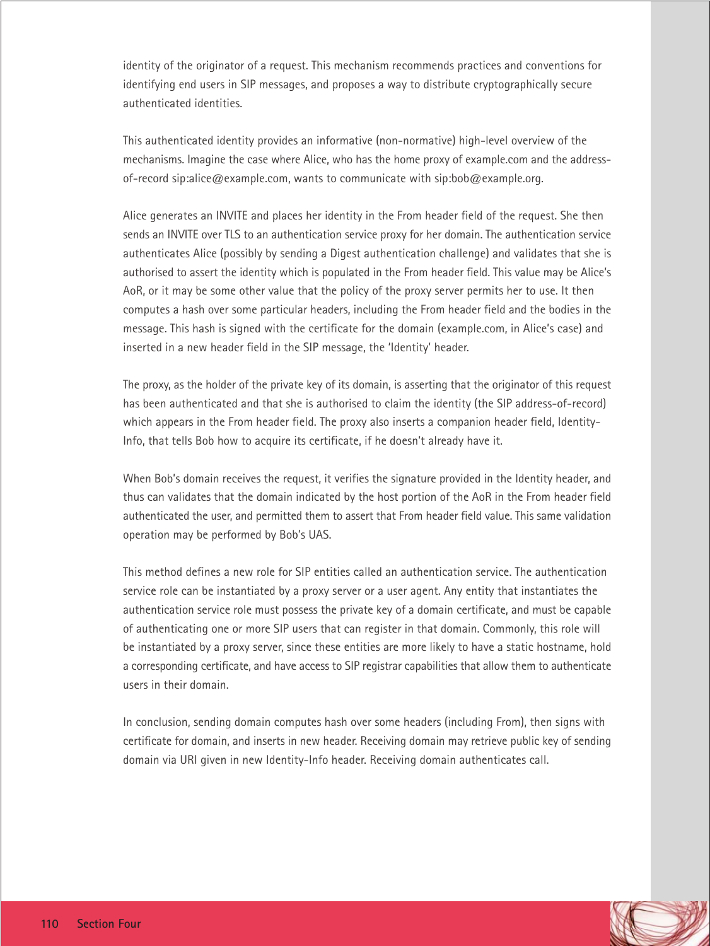identity of the originator of a request. This mechanism recommends practices and conventions for identifying end users in SIP messages, and proposes a way to distribute cryptographically secure authenticated identities.

This authenticated identity provides an informative (non-normative) high-level overview of the mechanisms. Imagine the case where Alice, who has the home proxy of example.com and the addressof-record sip:alice@example.com, wants to communicate with sip:bob@example.org.

Alice generates an INVITE and places her identity in the From header field of the request. She then sends an INVITE over TLS to an authentication service proxy for her domain. The authentication service authenticates Alice (possibly by sending a Digest authentication challenge) and validates that she is authorised to assert the identity which is populated in the From header field. This value may be Alice's AoR, or it may be some other value that the policy of the proxy server permits her to use. It then computes a hash over some particular headers, including the From header field and the bodies in the message. This hash is signed with the certificate for the domain (example.com, in Alice's case) and inserted in a new header field in the SIP message, the 'Identity' header.

The proxy, as the holder of the private key of its domain, is asserting that the originator of this request has been authenticated and that she is authorised to claim the identity (the SIP address-of-record) which appears in the From header field. The proxy also inserts a companion header field, Identity-Info, that tells Bob how to acquire its certificate, if he doesn't already have it.

When Bob's domain receives the request, it verifies the signature provided in the Identity header, and thus can validates that the domain indicated by the host portion of the AoR in the From header field authenticated the user, and permitted them to assert that From header field value. This same validation operation may be performed by Bob's UAS.

This method defines a new role for SIP entities called an authentication service. The authentication service role can be instantiated by a proxy server or a user agent. Any entity that instantiates the authentication service role must possess the private key of a domain certificate, and must be capable of authenticating one or more SIP users that can register in that domain. Commonly, this role will be instantiated by a proxy server, since these entities are more likely to have a static hostname, hold a corresponding certificate, and have access to SIP registrar capabilities that allow them to authenticate users in their domain.

In conclusion, sending domain computes hash over some headers (including From), then signs with certificate for domain, and inserts in new header. Receiving domain may retrieve public key of sending domain via URI given in new Identity-Info header. Receiving domain authenticates call.

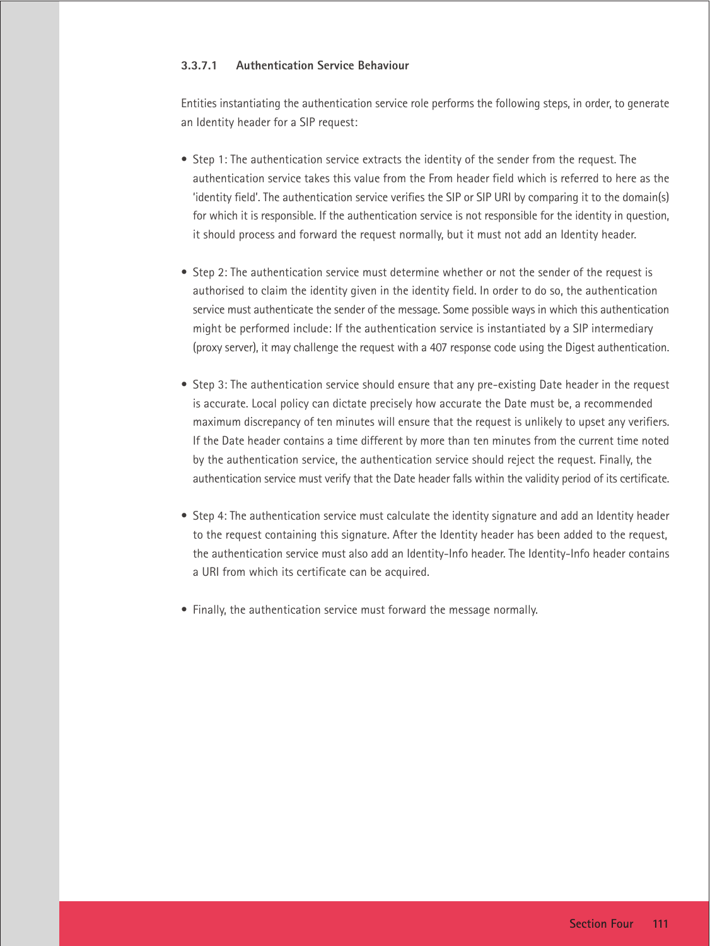# **3.3.7.1 Authentication Service Behaviour**

Entities instantiating the authentication service role performs the following steps, in order, to generate an Identity header for a SIP request:

- Step 1: The authentication service extracts the identity of the sender from the request. The authentication service takes this value from the From header field which is referred to here as the 'identity field'. The authentication service verifies the SIP or SIP URI by comparing it to the domain(s) for which it is responsible. If the authentication service is not responsible for the identity in question, it should process and forward the request normally, but it must not add an Identity header.
- Step 2: The authentication service must determine whether or not the sender of the request is authorised to claim the identity given in the identity field. In order to do so, the authentication service must authenticate the sender of the message. Some possible ways in which this authentication might be performed include: If the authentication service is instantiated by a SIP intermediary (proxy server), it may challenge the request with a 407 response code using the Digest authentication.
- Step 3: The authentication service should ensure that any pre-existing Date header in the request is accurate. Local policy can dictate precisely how accurate the Date must be, a recommended maximum discrepancy of ten minutes will ensure that the request is unlikely to upset any verifiers. If the Date header contains a time different by more than ten minutes from the current time noted by the authentication service, the authentication service should reject the request. Finally, the authentication service must verify that the Date header falls within the validity period of its certificate.
- Step 4: The authentication service must calculate the identity signature and add an Identity header to the request containing this signature. After the Identity header has been added to the request, the authentication service must also add an Identity-Info header. The Identity-Info header contains a URI from which its certificate can be acquired.
- Finally, the authentication service must forward the message normally.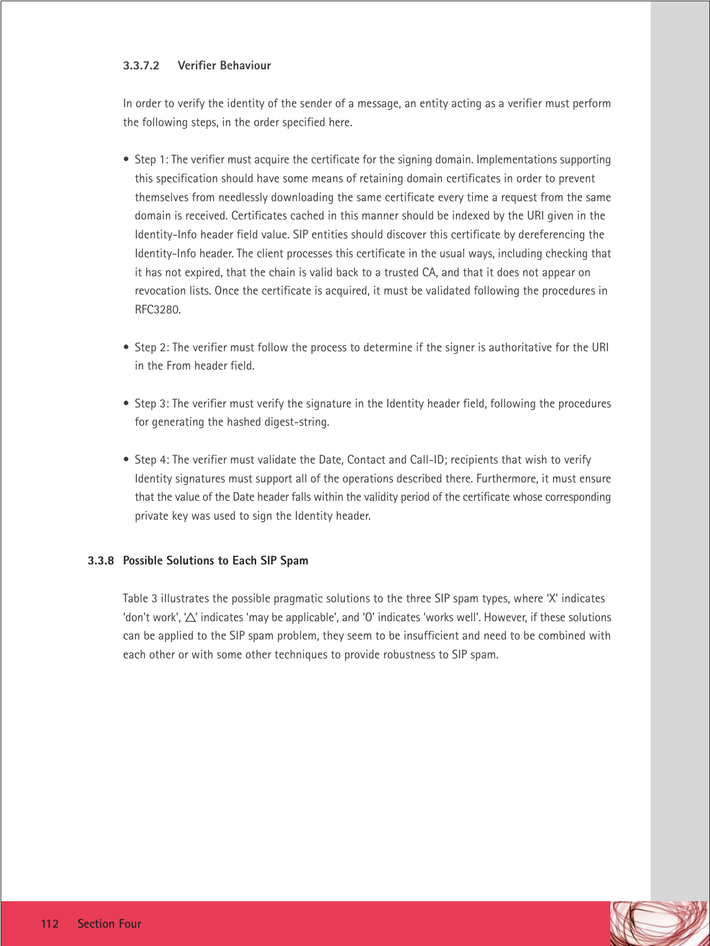# **3.3.7.2 Verifier Behaviour**

In order to verify the identity of the sender of a message, an entity acting as a verifier must perform the following steps, in the order specified here.

- Step 1: The verifier must acquire the certificate for the signing domain. Implementations supporting this specification should have some means of retaining domain certificates in order to prevent themselves from needlessly downloading the same certificate every time a request from the same domain is received. Certificates cached in this manner should be indexed by the URI given in the Identity-Info header field value. SIP entities should discover this certificate by dereferencing the Identity-Info header. The client processes this certificate in the usual ways, including checking that it has not expired, that the chain is valid back to a trusted CA, and that it does not appear on revocation lists. Once the certificate is acquired, it must be validated following the procedures in RFC3280.
- Step 2: The verifier must follow the process to determine if the signer is authoritative for the URI in the From header field.
- Step 3: The verifier must verify the signature in the Identity header field, following the procedures for generating the hashed digest-string.
- Step 4: The verifier must validate the Date, Contact and Call-ID; recipients that wish to verify Identity signatures must support all of the operations described there. Furthermore, it must ensure that the value of the Date header falls within the validity period of the certificate whose corresponding private key was used to sign the Identity header.

# **3.3.8 Possible Solutions to Each SIP Spam**

Table 3 illustrates the possible pragmatic solutions to the three SIP spam types, where 'X' indicates 'don't work', ' $\Delta$ ' indicates 'may be applicable', and 'O' indicates 'works well'. However, if these solutions can be applied to the SIP spam problem, they seem to be insufficient and need to be combined with each other or with some other techniques to provide robustness to SIP spam.

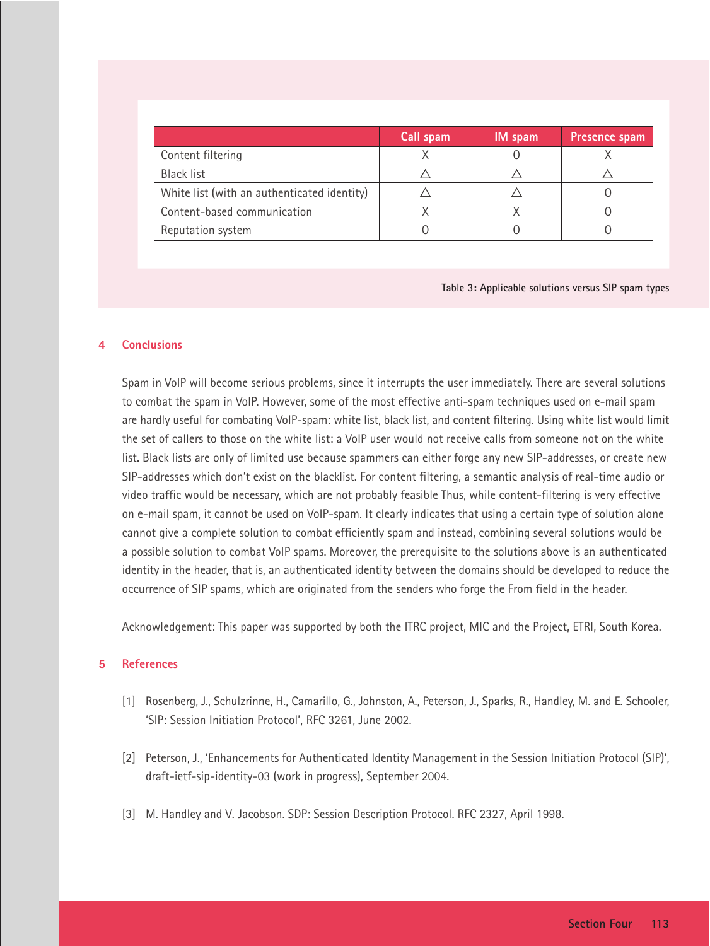|                                             | Call spam | IM spam | Presence spam |
|---------------------------------------------|-----------|---------|---------------|
| Content filtering                           |           |         |               |
| Black list                                  |           |         |               |
| White list (with an authenticated identity) |           |         |               |
| Content-based communication                 |           |         |               |
| Reputation system                           |           |         |               |

**Table 3: Applicable solutions versus SIP spam types**

#### **Conclusions**

Spam in VoIP will become serious problems, since it interrupts the user immediately. There are several solutions to combat the spam in VoIP. However, some of the most effective anti-spam techniques used on e-mail spam are hardly useful for combating VoIP-spam: white list, black list, and content filtering. Using white list would limit the set of callers to those on the white list: a VoIP user would not receive calls from someone not on the white list. Black lists are only of limited use because spammers can either forge any new SIP-addresses, or create new SIP-addresses which don't exist on the blacklist. For content filtering, a semantic analysis of real-time audio or video traffic would be necessary, which are not probably feasible Thus, while content-filtering is very effective on e-mail spam, it cannot be used on VoIP-spam. It clearly indicates that using a certain type of solution alone cannot give a complete solution to combat efficiently spam and instead, combining several solutions would be a possible solution to combat VoIP spams. Moreover, the prerequisite to the solutions above is an authenticated identity in the header, that is, an authenticated identity between the domains should be developed to reduce the occurrence of SIP spams, which are originated from the senders who forge the From field in the header.

Acknowledgement: This paper was supported by both the ITRC project, MIC and the Project, ETRI, South Korea.

#### **5 References**

- [1] Rosenberg, J., Schulzrinne, H., Camarillo, G., Johnston, A., Peterson, J., Sparks, R., Handley, M. and E. Schooler, 'SIP: Session Initiation Protocol', RFC 3261, June 2002.
- [2] Peterson, J., 'Enhancements for Authenticated Identity Management in the Session Initiation Protocol (SIP)', draft-ietf-sip-identity-03 (work in progress), September 2004.
- [3] M. Handley and V. Jacobson. SDP: Session Description Protocol. RFC 2327, April 1998.